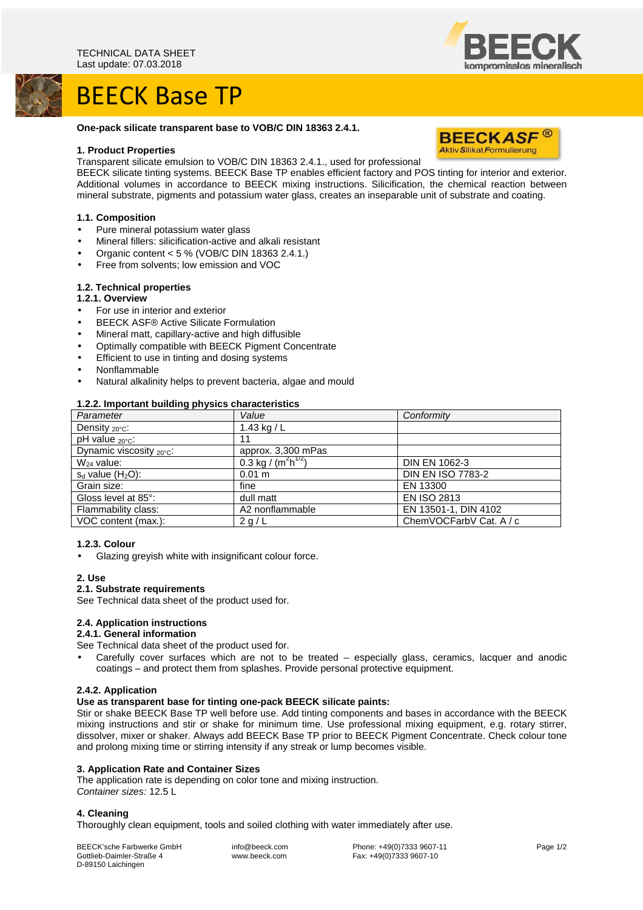# BEECK Base TP



## **One-pack silicate transparent base to VOB/C DIN 18363 2.4.1.**

## **1. Product Properties**

Transparent silicate emulsion to VOB/C DIN 18363 2.4.1., used for professional

BEECK silicate tinting systems. BEECK Base TP enables efficient factory and POS tinting for interior and exterior. Additional volumes in accordance to BEECK mixing instructions. Silicification, the chemical reaction between mineral substrate, pigments and potassium water glass, creates an inseparable unit of substrate and coating.

## **1.1. Composition**

- Pure mineral potassium water glass
- Mineral fillers: silicification-active and alkali resistant
- Organic content < 5 % (VOB/C DIN 18363 2.4.1.)
- Free from solvents; low emission and VOC

## **1.2. Technical properties**

- **1.2.1. Overview**
- For use in interior and exterior
- BEECK ASF® Active Silicate Formulation
- Mineral matt, capillary-active and high diffusible
- Optimally compatible with BEECK Pigment Concentrate
- Efficient to use in tinting and dosing systems
- Nonflammable
- Natural alkalinity helps to prevent bacteria, algae and mould

## **1.2.2. Important building physics characteristics**

| Parameter                            | Value                   | Conformity               |
|--------------------------------------|-------------------------|--------------------------|
| Density $_{20^{\circ}$ C:            | 1.43 kg / $L$           |                          |
| pH value $_{20\degree}$ C:           | 11                      |                          |
| Dynamic viscosity $_{20^{\circ}C}$ : | approx. 3,300 mPas      |                          |
| $W_{24}$ value:                      | 0.3 kg / $(m^2h^{1/2})$ | <b>DIN EN 1062-3</b>     |
| $s_d$ value $(H_2O)$ :               | 0.01 m                  | <b>DIN EN ISO 7783-2</b> |
| Grain size:                          | fine                    | EN 13300                 |
| Gloss level at 85°:                  | dull matt               | <b>EN ISO 2813</b>       |
| Flammability class:                  | A2 nonflammable         | EN 13501-1, DIN 4102     |
| VOC content (max.):                  | 2 g/L                   | ChemVOCFarbV Cat. A / c  |

#### **1.2.3. Colour**

Glazing greyish white with insignificant colour force.

#### **2. Use**

## **2.1. Substrate requirements**

See Technical data sheet of the product used for.

# **2.4. Application instructions**

#### **2.4.1. General information**

See Technical data sheet of the product used for.

• Carefully cover surfaces which are not to be treated – especially glass, ceramics, lacquer and anodic coatings – and protect them from splashes. Provide personal protective equipment.

#### **2.4.2. Application**

## **Use as transparent base for tinting one-pack BEECK silicate paints:**

Stir or shake BEECK Base TP well before use. Add tinting components and bases in accordance with the BEECK mixing instructions and stir or shake for minimum time. Use professional mixing equipment, e.g. rotary stirrer, dissolver, mixer or shaker. Always add BEECK Base TP prior to BEECK Pigment Concentrate. Check colour tone and prolong mixing time or stirring intensity if any streak or lump becomes visible.

#### **3. Application Rate and Container Sizes**

The application rate is depending on color tone and mixing instruction. Container sizes: 12.5 L

# **4. Cleaning**

Thoroughly clean equipment, tools and soiled clothing with water immediately after use.

BEECK'sche Farbwerke GmbH Gottlieb-Daimler-Straße 4 D-89150 Laichingen

 info@beeck.com www.beeck.com

 Phone: +49(0)7333 9607-11 Fax: +49(0)7333 9607-10